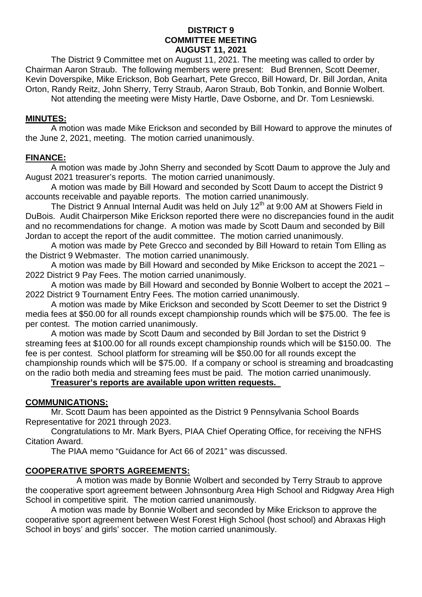#### **DISTRICT 9 COMMITTEE MEETING AUGUST 11, 2021**

The District 9 Committee met on August 11, 2021. The meeting was called to order by Chairman Aaron Straub. The following members were present: Bud Brennen, Scott Deemer, Kevin Doverspike, Mike Erickson, Bob Gearhart, Pete Grecco, Bill Howard, Dr. Bill Jordan, Anita Orton, Randy Reitz, John Sherry, Terry Straub, Aaron Straub, Bob Tonkin, and Bonnie Wolbert.

Not attending the meeting were Misty Hartle, Dave Osborne, and Dr. Tom Lesniewski.

## **MINUTES:**

A motion was made Mike Erickson and seconded by Bill Howard to approve the minutes of the June 2, 2021, meeting. The motion carried unanimously.

## **FINANCE:**

A motion was made by John Sherry and seconded by Scott Daum to approve the July and August 2021 treasurer's reports. The motion carried unanimously.

A motion was made by Bill Howard and seconded by Scott Daum to accept the District 9 accounts receivable and payable reports. The motion carried unanimously.

The District 9 Annual Internal Audit was held on July  $12<sup>th</sup>$  at 9:00 AM at Showers Field in DuBois. Audit Chairperson Mike Erickson reported there were no discrepancies found in the audit and no recommendations for change. A motion was made by Scott Daum and seconded by Bill Jordan to accept the report of the audit committee. The motion carried unanimously.

A motion was made by Pete Grecco and seconded by Bill Howard to retain Tom Elling as the District 9 Webmaster. The motion carried unanimously.

A motion was made by Bill Howard and seconded by Mike Erickson to accept the 2021 – 2022 District 9 Pay Fees. The motion carried unanimously.

A motion was made by Bill Howard and seconded by Bonnie Wolbert to accept the 2021 – 2022 District 9 Tournament Entry Fees. The motion carried unanimously.

A motion was made by Mike Erickson and seconded by Scott Deemer to set the District 9 media fees at \$50.00 for all rounds except championship rounds which will be \$75.00. The fee is per contest. The motion carried unanimously.

A motion was made by Scott Daum and seconded by Bill Jordan to set the District 9 streaming fees at \$100.00 for all rounds except championship rounds which will be \$150.00. The fee is per contest. School platform for streaming will be \$50.00 for all rounds except the championship rounds which will be \$75.00. If a company or school is streaming and broadcasting on the radio both media and streaming fees must be paid. The motion carried unanimously.

## **Treasurer's reports are available upon written requests.**

## **COMMUNICATIONS:**

Mr. Scott Daum has been appointed as the District 9 Pennsylvania School Boards Representative for 2021 through 2023.

Congratulations to Mr. Mark Byers, PIAA Chief Operating Office, for receiving the NFHS Citation Award.

The PIAA memo "Guidance for Act 66 of 2021" was discussed.

## **COOPERATIVE SPORTS AGREEMENTS:**

A motion was made by Bonnie Wolbert and seconded by Terry Straub to approve the cooperative sport agreement between Johnsonburg Area High School and Ridgway Area High School in competitive spirit. The motion carried unanimously.

A motion was made by Bonnie Wolbert and seconded by Mike Erickson to approve the cooperative sport agreement between West Forest High School (host school) and Abraxas High School in boys' and girls' soccer. The motion carried unanimously.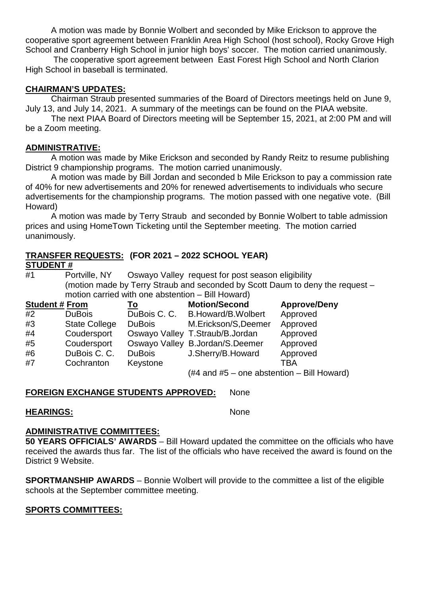A motion was made by Bonnie Wolbert and seconded by Mike Erickson to approve the cooperative sport agreement between Franklin Area High School (host school), Rocky Grove High School and Cranberry High School in junior high boys' soccer. The motion carried unanimously.

The cooperative sport agreement between East Forest High School and North Clarion High School in baseball is terminated.

# **CHAIRMAN'S UPDATES:**

Chairman Straub presented summaries of the Board of Directors meetings held on June 9, July 13, and July 14, 2021. A summary of the meetings can be found on the PIAA website.

The next PIAA Board of Directors meeting will be September 15, 2021, at 2:00 PM and will be a Zoom meeting.

### **ADMINISTRATIVE:**

A motion was made by Mike Erickson and seconded by Randy Reitz to resume publishing District 9 championship programs. The motion carried unanimously.

A motion was made by Bill Jordan and seconded b Mile Erickson to pay a commission rate of 40% for new advertisements and 20% for renewed advertisements to individuals who secure advertisements for the championship programs. The motion passed with one negative vote. (Bill Howard)

A motion was made by Terry Straub and seconded by Bonnie Wolbert to table admission prices and using HomeTown Ticketing until the September meeting. The motion carried unanimously.

#### **TRANSFER REQUESTS: (FOR 2021 – 2022 SCHOOL YEAR) STUDENT #**

#1 Portville, NY Oswayo Valley request for post season eligibility (motion made by Terry Straub and seconded by Scott Daum to deny the request – motion carried with one abstention – Bill Howard)

| <b>Student # From</b> |                      | <u>To</u>     | <b>Motion/Second</b>                                                   | <b>Approve/Deny</b> |
|-----------------------|----------------------|---------------|------------------------------------------------------------------------|---------------------|
| #2                    | <b>DuBois</b>        |               | DuBois C. C. B. Howard/B. Wolbert                                      | Approved            |
| #3                    | <b>State College</b> | <b>DuBois</b> | M.Erickson/S,Deemer                                                    | Approved            |
| #4                    | Coudersport          |               | Oswayo Valley T.Straub/B.Jordan                                        | Approved            |
| #5                    | Coudersport          |               | Oswayo Valley B.Jordan/S.Deemer                                        | Approved            |
| #6                    | DuBois C. C.         | <b>DuBois</b> | J.Sherry/B.Howard                                                      | Approved            |
| #7                    | Cochranton           | Keystone      |                                                                        | <b>TBA</b>          |
|                       |                      |               | $(\#4 \text{ and } \#5 - \text{one abstraction} - \text{Bill Howard})$ |                     |

## **FOREIGN EXCHANGE STUDENTS APPROVED:** None

## **HEARINGS:** None

## **ADMINISTRATIVE COMMITTEES:**

**50 YEARS OFFICIALS' AWARDS** – Bill Howard updated the committee on the officials who have received the awards thus far. The list of the officials who have received the award is found on the District 9 Website.

**SPORTMANSHIP AWARDS** – Bonnie Wolbert will provide to the committee a list of the eligible schools at the September committee meeting.

## **SPORTS COMMITTEES:**